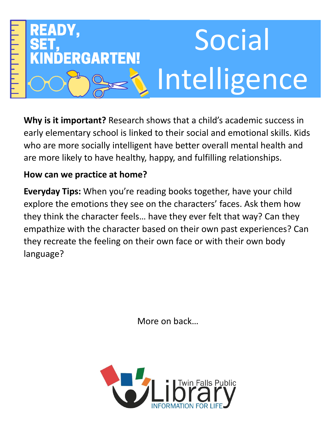

**Why is it important?** Research shows that a child's academic success in early elementary school is linked to their social and emotional skills. Kids who are more socially intelligent have better overall mental health and are more likely to have healthy, happy, and fulfilling relationships.

## **How can we practice at home?**

**Everyday Tips:** When you're reading books together, have your child explore the emotions they see on the characters' faces. Ask them how they think the character feels… have they ever felt that way? Can they empathize with the character based on their own past experiences? Can they recreate the feeling on their own face or with their own body language?

More on back…